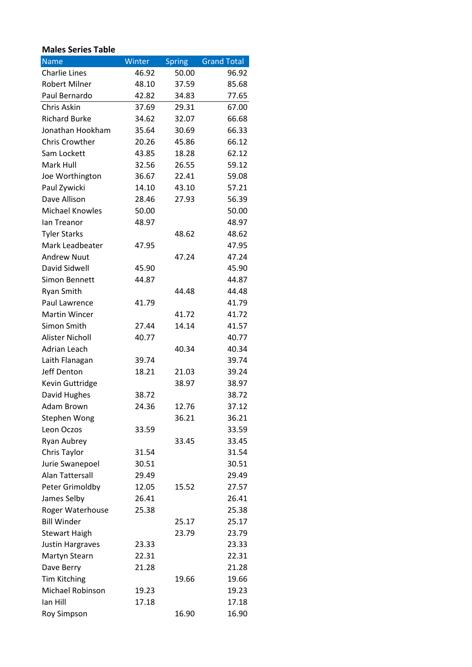## **Males Series Table**

| <b>Name</b>             | Winter | <b>Spring</b> | <b>Grand Total</b> |
|-------------------------|--------|---------------|--------------------|
| <b>Charlie Lines</b>    | 46.92  | 50.00         | 96.92              |
| <b>Robert Milner</b>    | 48.10  | 37.59         | 85.68              |
| Paul Bernardo           | 42.82  | 34.83         | 77.65              |
| Chris Askin             | 37.69  | 29.31         | 67.00              |
| <b>Richard Burke</b>    | 34.62  | 32.07         | 66.68              |
| Jonathan Hookham        | 35.64  | 30.69         | 66.33              |
| <b>Chris Crowther</b>   | 20.26  | 45.86         | 66.12              |
| Sam Lockett             | 43.85  | 18.28         | 62.12              |
| Mark Hull               | 32.56  | 26.55         | 59.12              |
| Joe Worthington         | 36.67  | 22.41         | 59.08              |
| Paul Zywicki            | 14.10  | 43.10         | 57.21              |
| Dave Allison            | 28.46  | 27.93         | 56.39              |
| <b>Michael Knowles</b>  | 50.00  |               | 50.00              |
| lan Treanor             | 48.97  |               | 48.97              |
| <b>Tyler Starks</b>     |        | 48.62         | 48.62              |
| Mark Leadbeater         | 47.95  |               | 47.95              |
| <b>Andrew Nuut</b>      |        | 47.24         | 47.24              |
| David Sidwell           | 45.90  |               | 45.90              |
| Simon Bennett           | 44.87  |               | 44.87              |
| <b>Ryan Smith</b>       |        | 44.48         | 44.48              |
| Paul Lawrence           | 41.79  |               | 41.79              |
| <b>Martin Wincer</b>    |        | 41.72         | 41.72              |
| Simon Smith             | 27.44  | 14.14         | 41.57              |
| <b>Alister Nicholl</b>  | 40.77  |               | 40.77              |
| Adrian Leach            |        | 40.34         | 40.34              |
| Laith Flanagan          | 39.74  |               | 39.74              |
| Jeff Denton             | 18.21  | 21.03         | 39.24              |
| Kevin Guttridge         |        | 38.97         | 38.97              |
| David Hughes            | 38.72  |               | 38.72              |
| Adam Brown              | 24.36  | 12.76         | 37.12              |
| Stephen Wong            |        | 36.21         | 36.21              |
| Leon Oczos              | 33.59  |               | 33.59              |
| Ryan Aubrey             |        | 33.45         | 33.45              |
| Chris Taylor            | 31.54  |               | 31.54              |
| Jurie Swanepoel         | 30.51  |               | 30.51              |
| Alan Tattersall         | 29.49  |               | 29.49              |
| Peter Grimoldby         | 12.05  | 15.52         | 27.57              |
| James Selby             | 26.41  |               | 26.41              |
| Roger Waterhouse        | 25.38  |               | 25.38              |
| <b>Bill Winder</b>      |        | 25.17         | 25.17              |
| <b>Stewart Haigh</b>    |        | 23.79         | 23.79              |
| <b>Justin Hargraves</b> | 23.33  |               | 23.33              |
| Martyn Stearn           | 22.31  |               | 22.31              |
| Dave Berry              | 21.28  |               | 21.28              |
| <b>Tim Kitching</b>     |        | 19.66         | 19.66              |
| <b>Michael Robinson</b> | 19.23  |               | 19.23              |
| lan Hill                | 17.18  |               | 17.18              |
| <b>Roy Simpson</b>      |        | 16.90         | 16.90              |